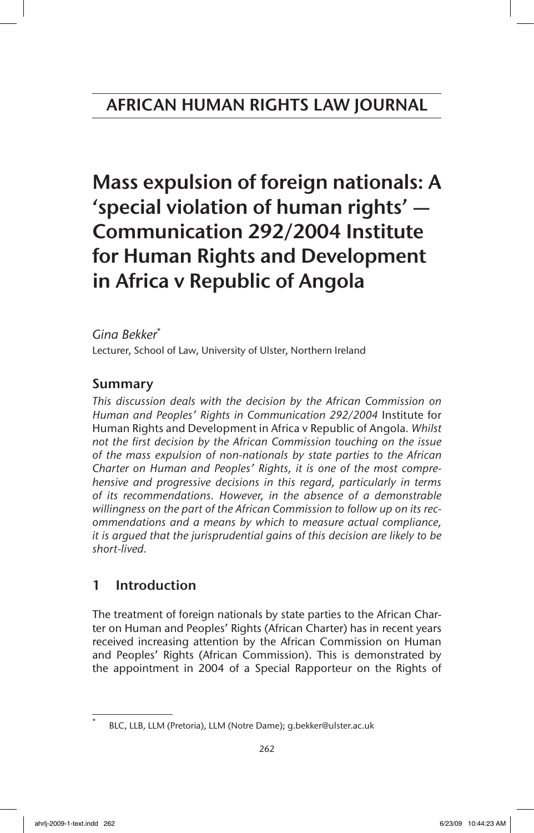Mass expulsion of foreign nationals: A 'special violation of human rights' — Communication 292/2004 Institute for Human Rights and Development in Africa v Republic of Angola

*Gina Bekker*\* Lecturer, School of Law, University of Ulster, Northern Ireland

# Summary

*This discussion deals with the decision by the African Commission on Human and Peoples' Rights in Communication 292/2004* Institute for Human Rights and Development in Africa v Republic of Angola*. Whilst not the first decision by the African Commission touching on the issue of the mass expulsion of non-nationals by state parties to the African Charter on Human and Peoples' Rights, it is one of the most comprehensive and progressive decisions in this regard, particularly in terms of its recommendations. However, in the absence of a demonstrable willingness on the part of the African Commission to follow up on its recommendations and a means by which to measure actual compliance, it is argued that the jurisprudential gains of this decision are likely to be short-lived.*

# 1 Introduction

The treatment of foreign nationals by state parties to the African Charter on Human and Peoples' Rights (African Charter) has in recent years received increasing attention by the African Commission on Human and Peoples' Rights (African Commission). This is demonstrated by the appointment in 2004 of a Special Rapporteur on the Rights of

BLC, LLB, LLM (Pretoria), LLM (Notre Dame); g.bekker@ulster.ac.uk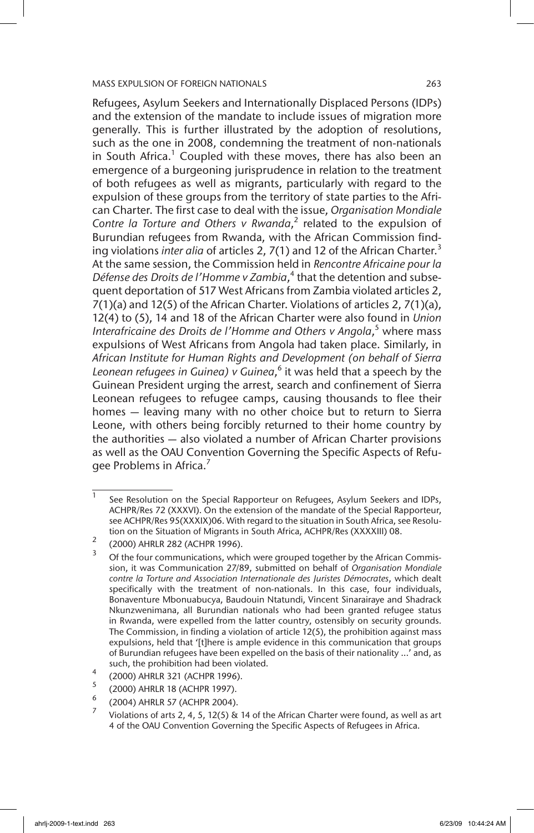Refugees, Asylum Seekers and Internationally Displaced Persons (IDPs) and the extension of the mandate to include issues of migration more generally. This is further illustrated by the adoption of resolutions, such as the one in 2008, condemning the treatment of non-nationals in South Africa.<sup>1</sup> Coupled with these moves, there has also been an emergence of a burgeoning jurisprudence in relation to the treatment of both refugees as well as migrants, particularly with regard to the expulsion of these groups from the territory of state parties to the African Charter. The first case to deal with the issue, *Organisation Mondiale*  Contre la Torture and Others v Rwanda,<sup>2</sup> related to the expulsion of Burundian refugees from Rwanda, with the African Commission finding violations *inter alia* of articles 2, 7(1) and 12 of the African Charter.<sup>3</sup> At the same session, the Commission held in *Rencontre Africaine pour la Défense des Droits de l'Homme v Zambia*, 4 that the detention and subsequent deportation of 517 West Africans from Zambia violated articles 2, 7(1)(a) and 12(5) of the African Charter. Violations of articles 2, 7(1)(a), 12(4) to (5), 14 and 18 of the African Charter were also found in *Union*  Interafricaine des Droits de l'Homme and Others v Angola,<sup>5</sup> where mass expulsions of West Africans from Angola had taken place. Similarly, in *African Institute for Human Rights and Development (on behalf of Sierra Leonean refugees in Guinea) v Guinea*, 6 it was held that a speech by the Guinean President urging the arrest, search and confinement of Sierra Leonean refugees to refugee camps, causing thousands to flee their homes — leaving many with no other choice but to return to Sierra Leone, with others being forcibly returned to their home country by the authorities — also violated a number of African Charter provisions as well as the OAU Convention Governing the Specific Aspects of Refugee Problems in Africa.<sup>7</sup>

 $1$  See Resolution on the Special Rapporteur on Refugees, Asylum Seekers and IDPs, ACHPR/Res 72 (XXXVI). On the extension of the mandate of the Special Rapporteur, see ACHPR/Res 95(XXXIX)06. With regard to the situation in South Africa, see Resolution on the Situation of Migrants in South Africa, ACHPR/Res (XXXXIII) 08.

<sup>2</sup> (2000) AHRLR 282 (ACHPR 1996).

Of the four communications, which were grouped together by the African Commission, it was Communication 27/89, submitted on behalf of *Organisation Mondiale contre la Torture and Association Internationale des Juristes Démocrates*, which dealt specifically with the treatment of non-nationals. In this case, four individuals, Bonaventure Mbonuabucya, Baudouin Ntatundi, Vincent Sinarairaye and Shadrack Nkunzwenimana, all Burundian nationals who had been granted refugee status in Rwanda, were expelled from the latter country, ostensibly on security grounds. The Commission, in finding a violation of article 12(5), the prohibition against mass expulsions, held that '[t]here is ample evidence in this communication that groups of Burundian refugees have been expelled on the basis of their nationality ...' and, as such, the prohibition had been violated.

 $^{4}$  (2000) AHRLR 321 (ACHPR 1996).

 $^{5}$  (2000) AHRLR 18 (ACHPR 1997). <sup>6</sup> (2004) AHRLR 57 (ACHPR 2004).

Violations of arts 2, 4, 5, 12(5) & 14 of the African Charter were found, as well as art 4 of the OAU Convention Governing the Specific Aspects of Refugees in Africa.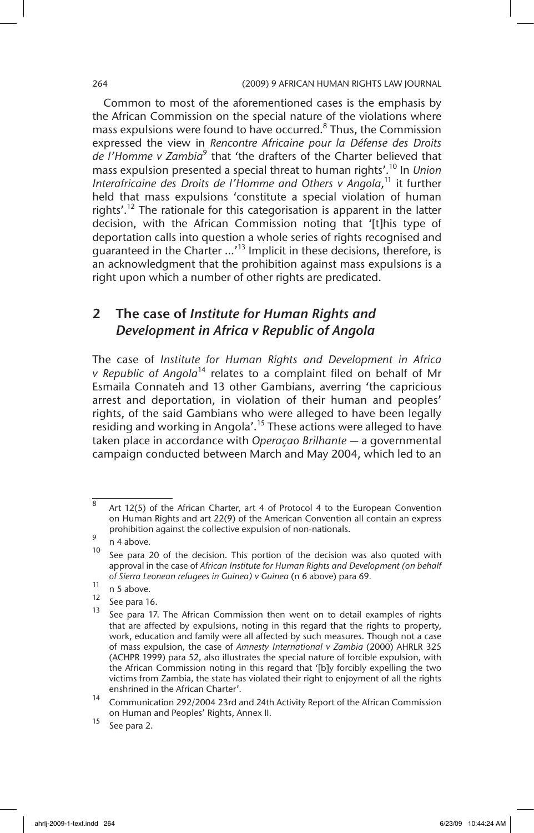### 264 (2009) 9 AFRICAN HUMAN RIGHTS LAW JOURNAL

Common to most of the aforementioned cases is the emphasis by the African Commission on the special nature of the violations where mass expulsions were found to have occurred.<sup>8</sup> Thus, the Commission expressed the view in *Rencontre Africaine pour la Défense des Droits de l'Homme v Zambia*<sup>9</sup> that 'the drafters of the Charter believed that mass expulsion presented a special threat to human rights'.10 In *Union*  Interafricaine des Droits de l'Homme and Others v Angola,<sup>11</sup> it further held that mass expulsions 'constitute a special violation of human rights'.<sup>12</sup> The rationale for this categorisation is apparent in the latter decision, with the African Commission noting that '[t]his type of deportation calls into question a whole series of rights recognised and guaranteed in the Charter …'13 Implicit in these decisions, therefore, is an acknowledgment that the prohibition against mass expulsions is a right upon which a number of other rights are predicated.

# 2 The case of *Institute for Human Rights and Development in Africa v Republic of Angola*

The case of *Institute for Human Rights and Development in Africa v Republic of Angola*<sup>14</sup> relates to a complaint filed on behalf of Mr Esmaila Connateh and 13 other Gambians, averring 'the capricious arrest and deportation, in violation of their human and peoples' rights, of the said Gambians who were alleged to have been legally residing and working in Angola'.<sup>15</sup> These actions were alleged to have taken place in accordance with *Operaçao Brilhante* — a governmental campaign conducted between March and May 2004, which led to an

<sup>8</sup> Art 12(5) of the African Charter, art 4 of Protocol 4 to the European Convention on Human Rights and art 22(9) of the American Convention all contain an express prohibition against the collective expulsion of non-nationals.

 $\frac{9}{10}$  n 4 above.

See para 20 of the decision. This portion of the decision was also quoted with approval in the case of *African Institute for Human Rights and Development (on behalf of Sierra Leonean refugees in Guinea) v Guinea* (n 6 above) para 69*.*

 $\frac{11}{12}$  n 5 above.

 $\frac{12}{13}$  See para 16.

See para 17. The African Commission then went on to detail examples of rights that are affected by expulsions, noting in this regard that the rights to property, work, education and family were all affected by such measures. Though not a case of mass expulsion, the case of *Amnesty International v Zambia* (2000) AHRLR 325 (ACHPR 1999) para 52, also illustrates the special nature of forcible expulsion, with the African Commission noting in this regard that '[b]y forcibly expelling the two victims from Zambia, the state has violated their right to enjoyment of all the rights enshrined in the African Charter'.

<sup>14</sup> Communication 292/2004 23rd and 24th Activity Report of the African Commission on Human and Peoples' Rights, Annex II.

 $15$  See para 2.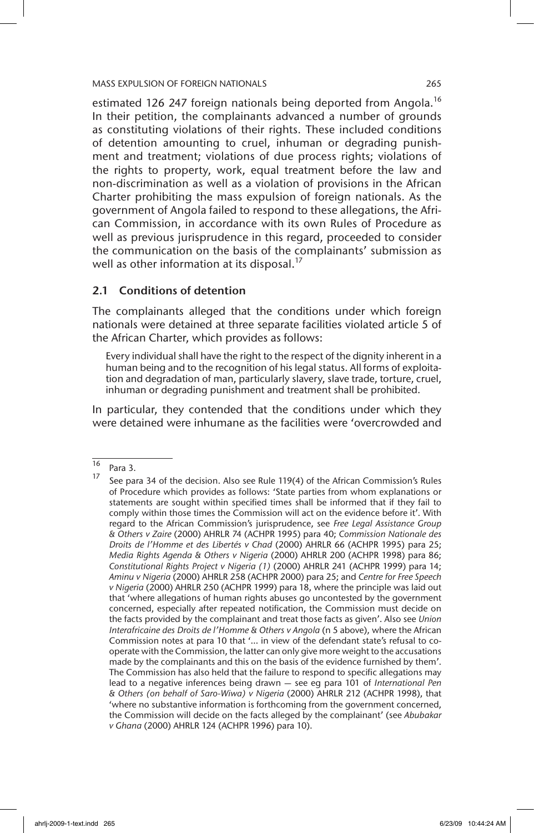estimated 126 247 foreign nationals being deported from Angola.<sup>16</sup> In their petition, the complainants advanced a number of grounds as constituting violations of their rights. These included conditions of detention amounting to cruel, inhuman or degrading punishment and treatment; violations of due process rights; violations of the rights to property, work, equal treatment before the law and non-discrimination as well as a violation of provisions in the African Charter prohibiting the mass expulsion of foreign nationals. As the government of Angola failed to respond to these allegations, the African Commission, in accordance with its own Rules of Procedure as well as previous jurisprudence in this regard, proceeded to consider the communication on the basis of the complainants' submission as well as other information at its disposal.<sup>17</sup>

## 2.1 Conditions of detention

The complainants alleged that the conditions under which foreign nationals were detained at three separate facilities violated article 5 of the African Charter, which provides as follows:

Every individual shall have the right to the respect of the dignity inherent in a human being and to the recognition of his legal status. All forms of exploitation and degradation of man, particularly slavery, slave trade, torture, cruel, inhuman or degrading punishment and treatment shall be prohibited.

In particular, they contended that the conditions under which they were detained were inhumane as the facilities were 'overcrowded and

 $\frac{16}{17}$  Para 3.

See para 34 of the decision. Also see Rule 119(4) of the African Commission's Rules of Procedure which provides as follows: 'State parties from whom explanations or statements are sought within specified times shall be informed that if they fail to comply within those times the Commission will act on the evidence before it'. With regard to the African Commission's jurisprudence, see *Free Legal Assistance Group & Others v Zaire* (2000) AHRLR 74 (ACHPR 1995) para 40; *Commission Nationale des Droits de l'Homme et des Libertés v Chad* (2000) AHRLR 66 (ACHPR 1995) para 25; *Media Rights Agenda & Others v Nigeria* (2000) AHRLR 200 (ACHPR 1998) para 86; *Constitutional Rights Project v Nigeria (1)* (2000) AHRLR 241 (ACHPR 1999) para 14; *Aminu v Nigeria* (2000) AHRLR 258 (ACHPR 2000) para 25; and *Centre for Free Speech v Nigeria* (2000) AHRLR 250 (ACHPR 1999) para 18, where the principle was laid out that 'where allegations of human rights abuses go uncontested by the government concerned, especially after repeated notification, the Commission must decide on the facts provided by the complainant and treat those facts as given'. Also see *Union Interafricaine des Droits de l'Homme & Others v Angola* (n 5 above), where the African Commission notes at para 10 that '… in view of the defendant state's refusal to cooperate with the Commission, the latter can only give more weight to the accusations made by the complainants and this on the basis of the evidence furnished by them'. The Commission has also held that the failure to respond to specific allegations may lead to a negative inferences being drawn — see eg para 101 of *International Pen & Others (on behalf of Saro-Wiwa) v Nigeria* (2000) AHRLR 212 (ACHPR 1998), that 'where no substantive information is forthcoming from the government concerned, the Commission will decide on the facts alleged by the complainant' (see *Abubakar v Ghana* (2000) AHRLR 124 (ACHPR 1996) para 10).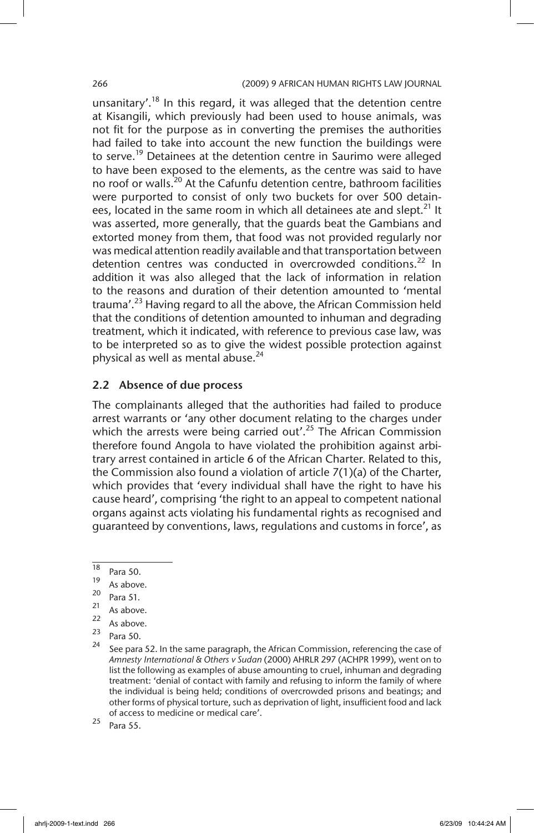unsanitary'.<sup>18</sup> In this regard, it was alleged that the detention centre at Kisangili, which previously had been used to house animals, was not fit for the purpose as in converting the premises the authorities had failed to take into account the new function the buildings were to serve.<sup>19</sup> Detainees at the detention centre in Saurimo were alleged to have been exposed to the elements, as the centre was said to have no roof or walls.<sup>20</sup> At the Cafunfu detention centre, bathroom facilities were purported to consist of only two buckets for over 500 detainees, located in the same room in which all detainees ate and slept.<sup>21</sup> It was asserted, more generally, that the guards beat the Gambians and extorted money from them, that food was not provided regularly nor was medical attention readily available and that transportation between detention centres was conducted in overcrowded conditions.<sup>22</sup> In addition it was also alleged that the lack of information in relation to the reasons and duration of their detention amounted to 'mental trauma'.<sup>23</sup> Having regard to all the above, the African Commission held that the conditions of detention amounted to inhuman and degrading treatment, which it indicated, with reference to previous case law, was to be interpreted so as to give the widest possible protection against physical as well as mental abuse.<sup>24</sup>

## 2.2 Absence of due process

The complainants alleged that the authorities had failed to produce arrest warrants or 'any other document relating to the charges under which the arrests were being carried out'.<sup>25</sup> The African Commission therefore found Angola to have violated the prohibition against arbitrary arrest contained in article 6 of the African Charter. Related to this, the Commission also found a violation of article 7(1)(a) of the Charter, which provides that 'every individual shall have the right to have his cause heard', comprising 'the right to an appeal to competent national organs against acts violating his fundamental rights as recognised and guaranteed by conventions, laws, regulations and customs in force', as

 $\frac{18}{19}$  Para 50.

 $\frac{19}{20}$  As above.

 $\frac{20}{21}$  Para 51.

 $\frac{21}{22}$  As above.

 $\frac{22}{23}$  As above.

 $\frac{23}{24}$  Para 50.

See para 52. In the same paragraph, the African Commission, referencing the case of *Amnesty International & Others v Sudan* (2000) AHRLR 297 (ACHPR 1999), went on to list the following as examples of abuse amounting to cruel, inhuman and degrading treatment: 'denial of contact with family and refusing to inform the family of where the individual is being held; conditions of overcrowded prisons and beatings; and other forms of physical torture, such as deprivation of light, insufficient food and lack of access to medicine or medical care'.

 $25$  Para 55.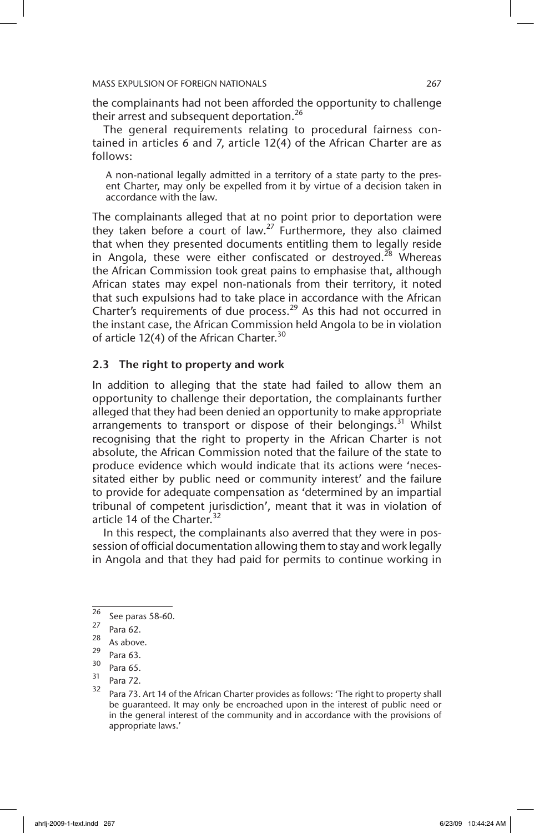the complainants had not been afforded the opportunity to challenge their arrest and subsequent deportation.<sup>26</sup>

The general requirements relating to procedural fairness contained in articles 6 and 7, article 12(4) of the African Charter are as follows:

A non-national legally admitted in a territory of a state party to the present Charter, may only be expelled from it by virtue of a decision taken in accordance with the law.

The complainants alleged that at no point prior to deportation were they taken before a court of law.<sup>27</sup> Furthermore, they also claimed that when they presented documents entitling them to legally reside in Angola, these were either confiscated or destroyed.<sup>28</sup> Whereas the African Commission took great pains to emphasise that, although African states may expel non-nationals from their territory, it noted that such expulsions had to take place in accordance with the African Charter's requirements of due process.<sup>29</sup> As this had not occurred in the instant case, the African Commission held Angola to be in violation of article 12(4) of the African Charter.<sup>30</sup>

# 2.3 The right to property and work

In addition to alleging that the state had failed to allow them an opportunity to challenge their deportation, the complainants further alleged that they had been denied an opportunity to make appropriate arrangements to transport or dispose of their belongings.<sup>31</sup> Whilst recognising that the right to property in the African Charter is not absolute, the African Commission noted that the failure of the state to produce evidence which would indicate that its actions were 'necessitated either by public need or community interest' and the failure to provide for adequate compensation as 'determined by an impartial tribunal of competent jurisdiction', meant that it was in violation of article 14 of the Charter.<sup>32</sup>

In this respect, the complainants also averred that they were in possession of official documentation allowing them to stay and work legally in Angola and that they had paid for permits to continue working in

 $\frac{26}{27}$  See paras 58-60.

 $\frac{27}{28}$  Para 62.

 $\frac{28}{29}$  As above.

 $\frac{29}{30}$  Para 63.

 $\frac{30}{31}$  Para 65.

 $\frac{31}{32}$  Para 72.

Para 73. Art 14 of the African Charter provides as follows: 'The right to property shall be guaranteed. It may only be encroached upon in the interest of public need or in the general interest of the community and in accordance with the provisions of appropriate laws.'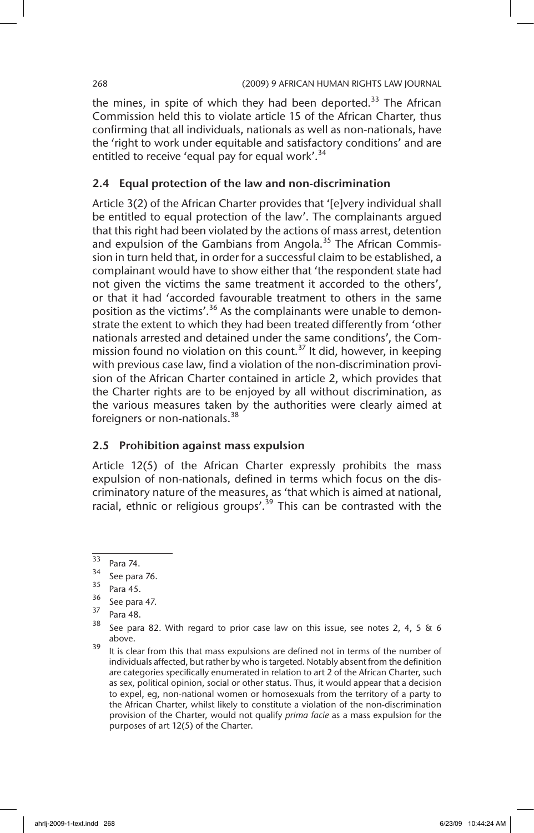the mines, in spite of which they had been deported.<sup>33</sup> The African Commission held this to violate article 15 of the African Charter, thus confirming that all individuals, nationals as well as non-nationals, have the 'right to work under equitable and satisfactory conditions' and are entitled to receive 'equal pay for equal work'.<sup>34</sup>

## 2.4 Equal protection of the law and non-discrimination

Article 3(2) of the African Charter provides that '[e]very individual shall be entitled to equal protection of the law'. The complainants argued that this right had been violated by the actions of mass arrest, detention and expulsion of the Gambians from Angola.<sup>35</sup> The African Commission in turn held that, in order for a successful claim to be established, a complainant would have to show either that 'the respondent state had not given the victims the same treatment it accorded to the others', or that it had 'accorded favourable treatment to others in the same position as the victims'.<sup>36</sup> As the complainants were unable to demonstrate the extent to which they had been treated differently from 'other nationals arrested and detained under the same conditions', the Commission found no violation on this count.<sup>37</sup> It did, however, in keeping with previous case law, find a violation of the non-discrimination provision of the African Charter contained in article 2, which provides that the Charter rights are to be enjoyed by all without discrimination, as the various measures taken by the authorities were clearly aimed at foreigners or non-nationals.<sup>38</sup>

# 2.5 Prohibition against mass expulsion

Article 12(5) of the African Charter expressly prohibits the mass expulsion of non-nationals, defined in terms which focus on the discriminatory nature of the measures, as 'that which is aimed at national, racial, ethnic or religious groups'.<sup>39</sup> This can be contrasted with the

 $\frac{33}{34}$  Para 74.

 $35^{34}$  See para 76.

 $rac{35}{36}$  Para 45.

See para 47.

 $\frac{37}{38}$  Para 48.

See para 82. With regard to prior case law on this issue, see notes 2, 4, 5  $\&$  6 above.

<sup>&</sup>lt;sup>39</sup> It is clear from this that mass expulsions are defined not in terms of the number of individuals affected, but rather by who is targeted. Notably absent from the definition are categories specifically enumerated in relation to art 2 of the African Charter, such as sex, political opinion, social or other status. Thus, it would appear that a decision to expel, eg, non-national women or homosexuals from the territory of a party to the African Charter, whilst likely to constitute a violation of the non-discrimination provision of the Charter, would not qualify *prima facie* as a mass expulsion for the purposes of art 12(5) of the Charter.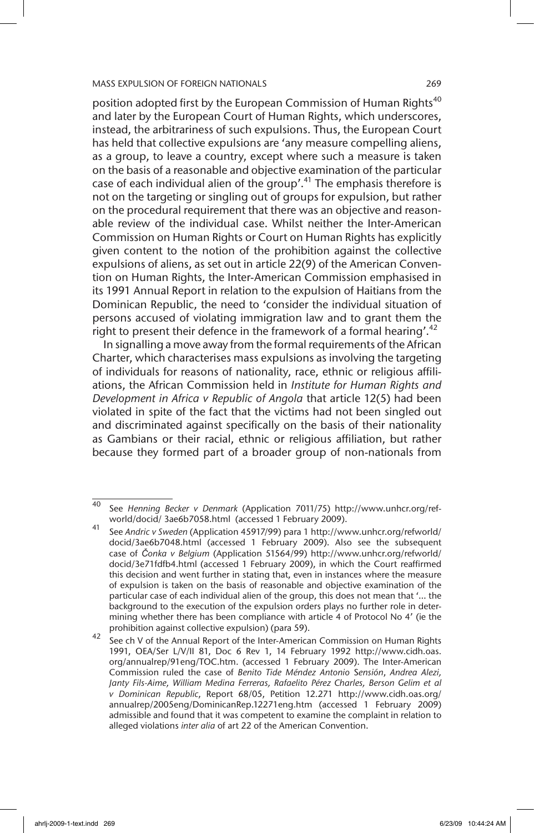position adopted first by the European Commission of Human Rights<sup>40</sup> and later by the European Court of Human Rights, which underscores, instead, the arbitrariness of such expulsions. Thus, the European Court has held that collective expulsions are 'any measure compelling aliens, as a group, to leave a country, except where such a measure is taken on the basis of a reasonable and objective examination of the particular case of each individual alien of the group'.<sup>41</sup> The emphasis therefore is not on the targeting or singling out of groups for expulsion, but rather on the procedural requirement that there was an objective and reasonable review of the individual case. Whilst neither the Inter-American Commission on Human Rights or Court on Human Rights has explicitly given content to the notion of the prohibition against the collective expulsions of aliens, as set out in article 22(9) of the American Convention on Human Rights, the Inter-American Commission emphasised in its 1991 Annual Report in relation to the expulsion of Haitians from the Dominican Republic, the need to 'consider the individual situation of persons accused of violating immigration law and to grant them the right to present their defence in the framework of a formal hearing'.<sup>42</sup>

In signalling a move away from the formal requirements of the African Charter, which characterises mass expulsions as involving the targeting of individuals for reasons of nationality, race, ethnic or religious affiliations, the African Commission held in *Institute for Human Rights and Development in Africa v Republic of Angola* that article 12(5) had been violated in spite of the fact that the victims had not been singled out and discriminated against specifically on the basis of their nationality as Gambians or their racial, ethnic or religious affiliation, but rather because they formed part of a broader group of non-nationals from

<sup>40</sup> See *Henning Becker v Denmark* (Application 7011/75) http://www.unhcr.org/refworld/docid/ 3ae6b7058.html (accessed 1 February 2009).

<sup>41</sup> See *Andric v Sweden* (Application 45917/99) para 1 http://www.unhcr.org/refworld/ docid/3ae6b7048.html (accessed 1 February 2009). Also see the subsequent case of *Čonka v Belgium* (Application 51564/99) http://www.unhcr.org/refworld/ docid/3e71fdfb4.html (accessed 1 February 2009), in which the Court reaffirmed this decision and went further in stating that, even in instances where the measure of expulsion is taken on the basis of reasonable and objective examination of the particular case of each individual alien of the group, this does not mean that '… the background to the execution of the expulsion orders plays no further role in determining whether there has been compliance with article 4 of Protocol No 4' (ie the prohibition against collective expulsion) (para 59).

See ch V of the Annual Report of the Inter-American Commission on Human Rights 1991, OEA/Ser L/V/II 81, Doc 6 Rev 1, 14 February 1992 http://www.cidh.oas. org/annualrep/91eng/TOC.htm. (accessed 1 February 2009). The Inter-American Commission ruled the case of *Benito Tide Méndez Antonio* S*ensión*, *Andrea Alezi, Janty Fils-Aime, William Medina Ferreras, Rafaelito Pérez Charles, Berson Gelim et al v Dominican Republic*, Report 68/05, Petition 12.271 http://www.cidh.oas.org/ annualrep/2005eng/DominicanRep.12271eng.htm (accessed 1 February 2009) admissible and found that it was competent to examine the complaint in relation to alleged violations *inter alia* of art 22 of the American Convention.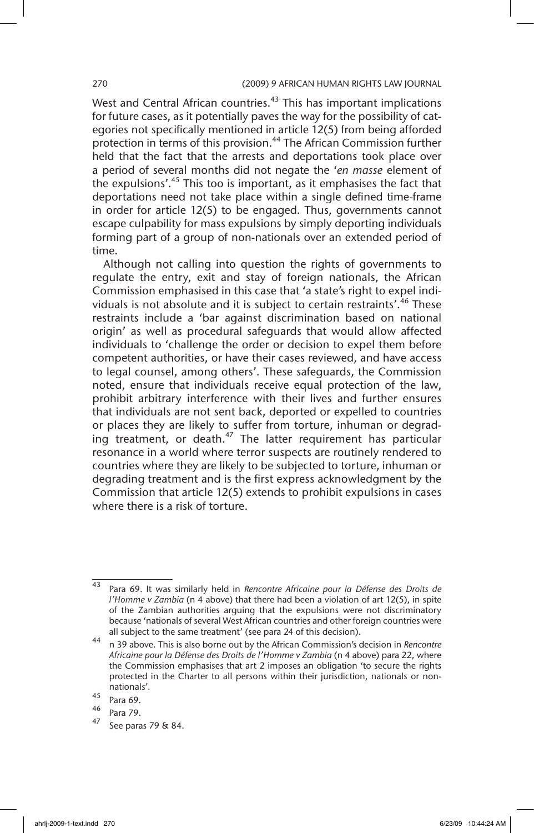West and Central African countries.<sup>43</sup> This has important implications for future cases, as it potentially paves the way for the possibility of categories not specifically mentioned in article 12(5) from being afforded protection in terms of this provision.<sup>44</sup> The African Commission further held that the fact that the arrests and deportations took place over a period of several months did not negate the '*en masse* element of the expulsions'.<sup>45</sup> This too is important, as it emphasises the fact that deportations need not take place within a single defined time-frame in order for article 12(5) to be engaged. Thus, governments cannot escape culpability for mass expulsions by simply deporting individuals forming part of a group of non-nationals over an extended period of time.

Although not calling into question the rights of governments to regulate the entry, exit and stay of foreign nationals, the African Commission emphasised in this case that 'a state's right to expel individuals is not absolute and it is subject to certain restraints'.<sup>46</sup> These restraints include a 'bar against discrimination based on national origin' as well as procedural safeguards that would allow affected individuals to 'challenge the order or decision to expel them before competent authorities, or have their cases reviewed, and have access to legal counsel, among others'. These safeguards, the Commission noted, ensure that individuals receive equal protection of the law, prohibit arbitrary interference with their lives and further ensures that individuals are not sent back, deported or expelled to countries or places they are likely to suffer from torture, inhuman or degrad- $\frac{1}{100}$  treatment, or death.<sup>47</sup> The latter requirement has particular resonance in a world where terror suspects are routinely rendered to countries where they are likely to be subjected to torture, inhuman or degrading treatment and is the first express acknowledgment by the Commission that article 12(5) extends to prohibit expulsions in cases where there is a risk of torture.

<sup>43</sup> Para 69. It was similarly held in *Rencontre Africaine pour la Défense des Droits de l'Homme v Zambia* (n 4 above) that there had been a violation of art 12(5), in spite of the Zambian authorities arguing that the expulsions were not discriminatory because 'nationals of several West African countries and other foreign countries were all subject to the same treatment' (see para 24 of this decision).

<sup>44</sup> n 39 above. This is also borne out by the African Commission's decision in *Rencontre Africaine pour la Défense des Droits de l'Homme v Zambia* (n 4 above) para 22, where the Commission emphasises that art 2 imposes an obligation 'to secure the rights protected in the Charter to all persons within their jurisdiction, nationals or nonnationals'.

 $^{45}$  Para 69.

Para 79.

<sup>47</sup> See paras 79 & 84.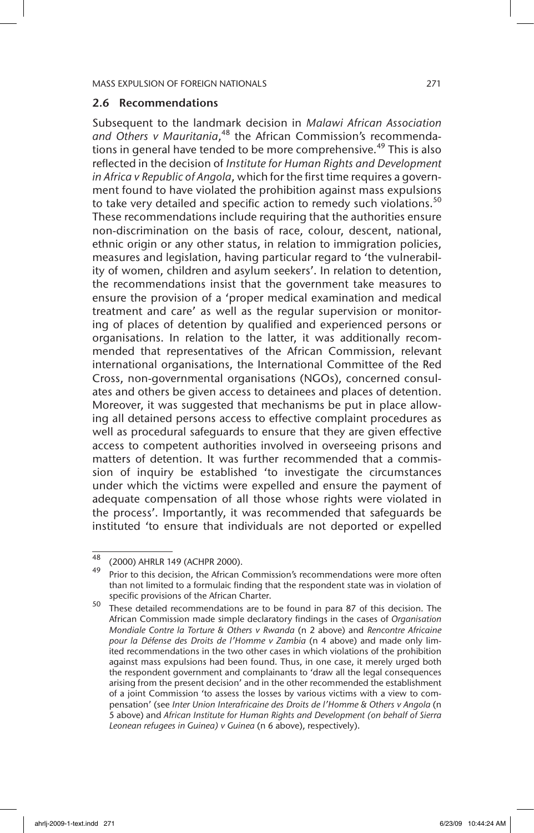### 2.6 Recommendations

Subsequent to the landmark decision in *Malawi African Association*  and Others v Mauritania,<sup>48</sup> the African Commission's recommendations in general have tended to be more comprehensive.<sup>49</sup> This is also reflected in the decision of *Institute for Human Rights and Development in Africa v Republic of Angola*, which for the first time requires a government found to have violated the prohibition against mass expulsions to take very detailed and specific action to remedy such violations.<sup>50</sup> These recommendations include requiring that the authorities ensure non-discrimination on the basis of race, colour, descent, national, ethnic origin or any other status, in relation to immigration policies, measures and legislation, having particular regard to 'the vulnerability of women, children and asylum seekers'. In relation to detention, the recommendations insist that the government take measures to ensure the provision of a 'proper medical examination and medical treatment and care' as well as the regular supervision or monitoring of places of detention by qualified and experienced persons or organisations. In relation to the latter, it was additionally recommended that representatives of the African Commission, relevant international organisations, the International Committee of the Red Cross, non-governmental organisations (NGOs), concerned consulates and others be given access to detainees and places of detention. Moreover, it was suggested that mechanisms be put in place allowing all detained persons access to effective complaint procedures as well as procedural safeguards to ensure that they are given effective access to competent authorities involved in overseeing prisons and matters of detention. It was further recommended that a commission of inquiry be established 'to investigate the circumstances under which the victims were expelled and ensure the payment of adequate compensation of all those whose rights were violated in the process'. Importantly, it was recommended that safeguards be instituted 'to ensure that individuals are not deported or expelled

<sup>48 (2000)</sup> AHRLR 149 (ACHPR 2000).

Prior to this decision, the African Commission's recommendations were more often than not limited to a formulaic finding that the respondent state was in violation of specific provisions of the African Charter.

<sup>50</sup> These detailed recommendations are to be found in para 87 of this decision. The African Commission made simple declaratory findings in the cases of *Organisation Mondiale Contre la Torture & Others v Rwanda* (n 2 above) and *Rencontre Africaine pour la Défense des Droits de l'Homme v Zambia* (n 4 above) and made only limited recommendations in the two other cases in which violations of the prohibition against mass expulsions had been found. Thus, in one case, it merely urged both the respondent government and complainants to 'draw all the legal consequences arising from the present decision' and in the other recommended the establishment of a joint Commission 'to assess the losses by various victims with a view to compensation' (see *Inter Union Interafricaine des Droits de l'Homme & Others v Angola* (n 5 above) and *African Institute for Human Rights and Development (on behalf of Sierra Leonean refugees in Guinea) v Guinea* (n 6 above), respectively).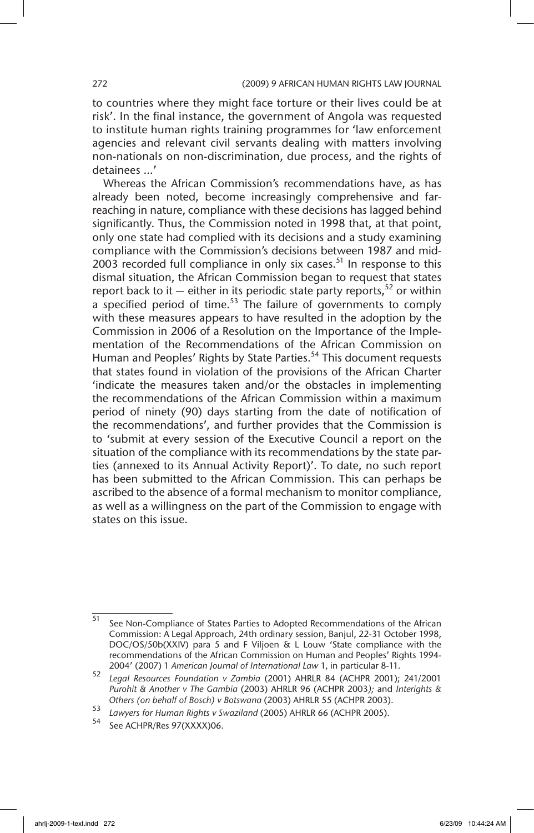to countries where they might face torture or their lives could be at risk'. In the final instance, the government of Angola was requested to institute human rights training programmes for 'law enforcement agencies and relevant civil servants dealing with matters involving non-nationals on non-discrimination, due process, and the rights of detainees …'

Whereas the African Commission's recommendations have, as has already been noted, become increasingly comprehensive and farreaching in nature, compliance with these decisions has lagged behind significantly. Thus, the Commission noted in 1998 that, at that point, only one state had complied with its decisions and a study examining compliance with the Commission's decisions between 1987 and mid-2003 recorded full compliance in only six cases. $51$  In response to this dismal situation, the African Commission began to request that states report back to it — either in its periodic state party reports,<sup>52</sup> or within a specified period of time.<sup>53</sup> The failure of governments to comply with these measures appears to have resulted in the adoption by the Commission in 2006 of a Resolution on the Importance of the Implementation of the Recommendations of the African Commission on Human and Peoples' Rights by State Parties.<sup>54</sup> This document requests that states found in violation of the provisions of the African Charter 'indicate the measures taken and/or the obstacles in implementing the recommendations of the African Commission within a maximum period of ninety (90) days starting from the date of notification of the recommendations', and further provides that the Commission is to 'submit at every session of the Executive Council a report on the situation of the compliance with its recommendations by the state parties (annexed to its Annual Activity Report)'. To date, no such report has been submitted to the African Commission. This can perhaps be ascribed to the absence of a formal mechanism to monitor compliance, as well as a willingness on the part of the Commission to engage with states on this issue.

<sup>51</sup> See Non-Compliance of States Parties to Adopted Recommendations of the African Commission: A Legal Approach, 24th ordinary session, Banjul, 22-31 October 1998, DOC/OS/50b(XXIV) para 5 and F Viljoen & L Louw 'State compliance with the recommendations of the African Commission on Human and Peoples' Rights 1994- 2004' (2007) 1 *American Journal of International Law* 1, in particular 8-11.

<sup>52</sup> *Legal Resources Foundation v Zambia* (2001) AHRLR 84 (ACHPR 2001); 241/2001 *Purohit & Another v The Gambia* (2003) AHRLR 96 (ACHPR 2003*);* and *Interights & Others (on behalf of Bosch) v Botswana* (2003) AHRLR 55 (ACHPR 2003).

<sup>53</sup> *Lawyers for Human Rights v Swaziland* (2005) AHRLR 66 (ACHPR 2005).

See ACHPR/Res 97(XXXX)06.